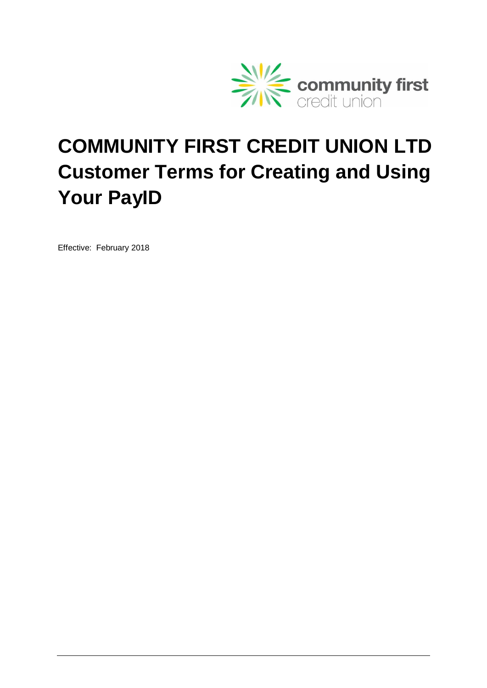

# **COMMUNITY FIRST CREDIT UNION LTD Customer Terms for Creating and Using Your PayID**

Effective: February 2018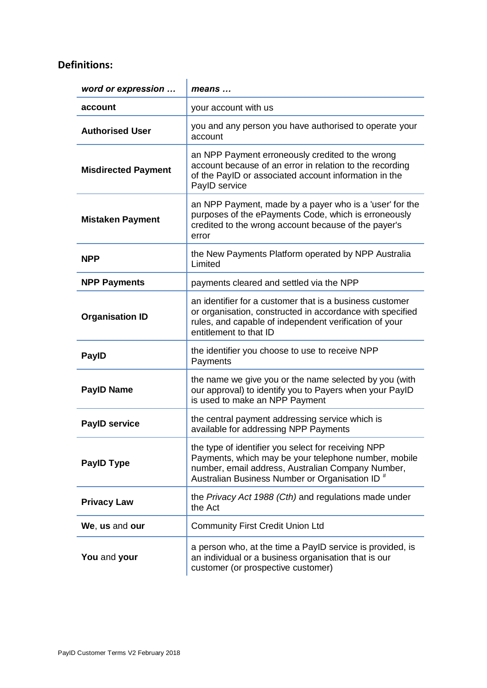## **Definitions:**

| word or expression         | means                                                                                                                                                                                                                          |
|----------------------------|--------------------------------------------------------------------------------------------------------------------------------------------------------------------------------------------------------------------------------|
| account                    | your account with us                                                                                                                                                                                                           |
| <b>Authorised User</b>     | you and any person you have authorised to operate your<br>account                                                                                                                                                              |
| <b>Misdirected Payment</b> | an NPP Payment erroneously credited to the wrong<br>account because of an error in relation to the recording<br>of the PayID or associated account information in the<br>PayID service                                         |
| <b>Mistaken Payment</b>    | an NPP Payment, made by a payer who is a 'user' for the<br>purposes of the ePayments Code, which is erroneously<br>credited to the wrong account because of the payer's<br>error                                               |
| <b>NPP</b>                 | the New Payments Platform operated by NPP Australia<br>Limited                                                                                                                                                                 |
| <b>NPP Payments</b>        | payments cleared and settled via the NPP                                                                                                                                                                                       |
| <b>Organisation ID</b>     | an identifier for a customer that is a business customer<br>or organisation, constructed in accordance with specified<br>rules, and capable of independent verification of your<br>entitlement to that ID                      |
| <b>PaylD</b>               | the identifier you choose to use to receive NPP<br>Payments                                                                                                                                                                    |
| <b>PayID Name</b>          | the name we give you or the name selected by you (with<br>our approval) to identify you to Payers when your PayID<br>is used to make an NPP Payment                                                                            |
| <b>PayID service</b>       | the central payment addressing service which is<br>available for addressing NPP Payments                                                                                                                                       |
| <b>PaylD Type</b>          | the type of identifier you select for receiving NPP<br>Payments, which may be your telephone number, mobile<br>number, email address, Australian Company Number,<br>Australian Business Number or Organisation ID <sup>#</sup> |
| <b>Privacy Law</b>         | the Privacy Act 1988 (Cth) and regulations made under<br>the Act                                                                                                                                                               |
| We, us and our             | <b>Community First Credit Union Ltd</b>                                                                                                                                                                                        |
| You and your               | a person who, at the time a PayID service is provided, is<br>an individual or a business organisation that is our<br>customer (or prospective customer)                                                                        |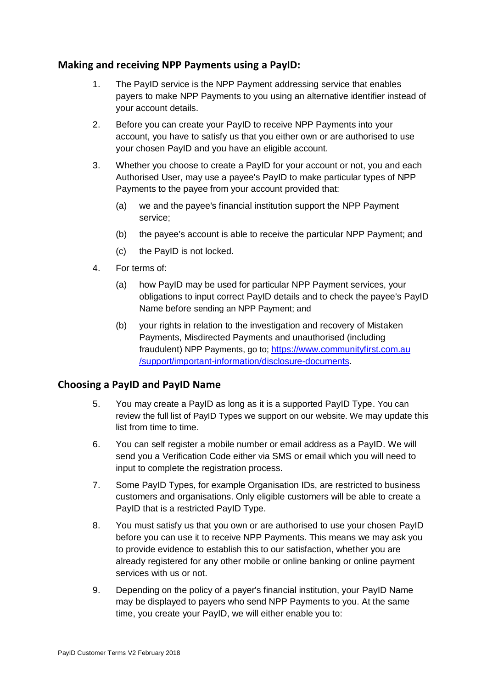## **Making and receiving NPP Payments using a PayID:**

- 1. The PayID service is the NPP Payment addressing service that enables payers to make NPP Payments to you using an alternative identifier instead of your account details.
- 2. Before you can create your PayID to receive NPP Payments into your account, you have to satisfy us that you either own or are authorised to use your chosen PayID and you have an eligible account.
- 3. Whether you choose to create a PayID for your account or not, you and each Authorised User, may use a payee's PayID to make particular types of NPP Payments to the payee from your account provided that:
	- (a) we and the payee's financial institution support the NPP Payment service;
	- (b) the payee's account is able to receive the particular NPP Payment; and
	- (c) the PayID is not locked.
- 4. For terms of:
	- (a) how PayID may be used for particular NPP Payment services, your obligations to input correct PayID details and to check the payee's PayID Name before sending an NPP Payment; and
	- (b) your rights in relation to the investigation and recovery of Mistaken Payments, Misdirected Payments and unauthorised (including fraudulent) NPP Payments, go to; [https://www.communityfirst.com.au](https://www.communityfirst.com.au/support/important-information/disclosure-documents) [/support/important-information/disclosure-documents.](https://www.communityfirst.com.au/support/important-information/disclosure-documents)

### **Choosing a PayID and PayID Name**

- 5. You may create a PayID as long as it is a supported PayID Type. You can review the full list of PayID Types we support on our website. We may update this list from time to time.
- 6. You can self register a mobile number or email address as a PayID. We will send you a Verification Code either via SMS or email which you will need to input to complete the registration process.
- 7. Some PayID Types, for example Organisation IDs, are restricted to business customers and organisations. Only eligible customers will be able to create a PayID that is a restricted PayID Type.
- 8. You must satisfy us that you own or are authorised to use your chosen PayID before you can use it to receive NPP Payments. This means we may ask you to provide evidence to establish this to our satisfaction, whether you are already registered for any other mobile or online banking or online payment services with us or not.
- 9. Depending on the policy of a payer's financial institution, your PayID Name may be displayed to payers who send NPP Payments to you. At the same time, you create your PayID, we will either enable you to: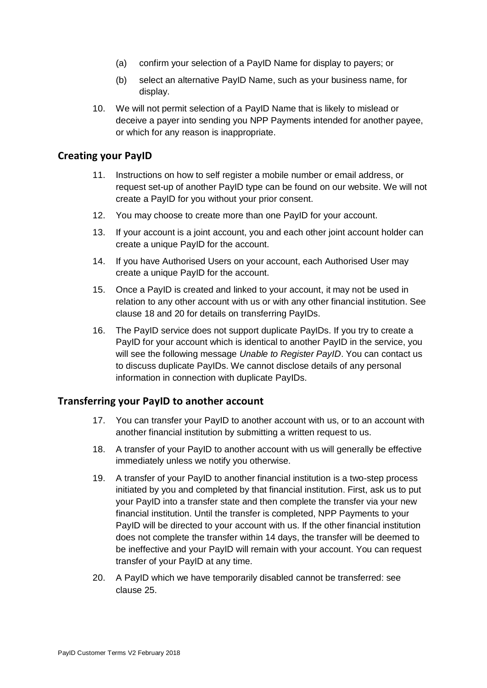- (a) confirm your selection of a PayID Name for display to payers; or
- (b) select an alternative PayID Name, such as your business name, for display.
- 10. We will not permit selection of a PayID Name that is likely to mislead or deceive a payer into sending you NPP Payments intended for another payee, or which for any reason is inappropriate.

#### **Creating your PayID**

- 11. Instructions on how to self register a mobile number or email address, or request set-up of another PayID type can be found on our website. We will not create a PayID for you without your prior consent.
- 12. You may choose to create more than one PayID for your account.
- 13. If your account is a joint account, you and each other joint account holder can create a unique PayID for the account.
- 14. If you have Authorised Users on your account, each Authorised User may create a unique PayID for the account.
- 15. Once a PayID is created and linked to your account, it may not be used in relation to any other account with us or with any other financial institution. See clause [18](#page-3-0) and [20](#page-3-1) for details on transferring PayIDs.
- 16. The PayID service does not support duplicate PayIDs. If you try to create a PayID for your account which is identical to another PayID in the service, you will see the following message *Unable to Register PayID*. You can contact us to discuss duplicate PayIDs. We cannot disclose details of any personal information in connection with duplicate PayIDs.

#### **Transferring your PayID to another account**

- 17. You can transfer your PayID to another account with us, or to an account with another financial institution by submitting a written request to us.
- <span id="page-3-0"></span>18. A transfer of your PayID to another account with us will generally be effective immediately unless we notify you otherwise.
- 19. A transfer of your PayID to another financial institution is a two-step process initiated by you and completed by that financial institution. First, ask us to put your PayID into a transfer state and then complete the transfer via your new financial institution. Until the transfer is completed, NPP Payments to your PayID will be directed to your account with us. If the other financial institution does not complete the transfer within 14 days, the transfer will be deemed to be ineffective and your PayID will remain with your account. You can request transfer of your PayID at any time.
- <span id="page-3-1"></span>20. A PayID which we have temporarily disabled cannot be transferred: see clause [25.](#page-4-0)